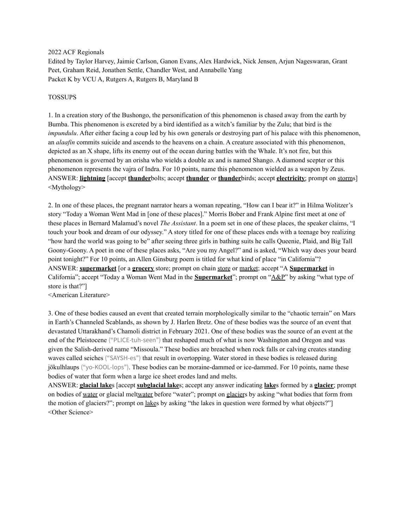#### 2022 ACF Regionals

Edited by Taylor Harvey, Jaimie Carlson, Ganon Evans, Alex Hardwick, Nick Jensen, Arjun Nageswaran, Grant Peet, Graham Reid, Jonathen Settle, Chandler West, and Annabelle Yang Packet K by VCU A, Rutgers A, Rutgers B, Maryland B

### TOSSUPS

1. In a creation story of the Bushongo, the personification of this phenomenon is chased away from the earth by Bumba. This phenomenon is excreted by a bird identified as a witch's familiar by the Zulu; that bird is the *impundulu*. After either facing a coup led by his own generals or destroying part of his palace with this phenomenon, an *alaafin* commits suicide and ascends to the heavens on a chain. A creature associated with this phenomenon, depicted as an X shape, lifts its enemy out of the ocean during battles with the Whale. It's not fire, but this phenomenon is governed by an orisha who wields a double ax and is named Shango. A diamond scepter or this phenomenon represents the vajra of Indra. For 10 points, name this phenomenon wielded as a weapon by Zeus. ANSWER: **lightning** [accept **thunder**bolts; accept **thunder** or **thunder**birds; accept **electricity**; prompt on storms] <Mythology>

2. In one of these places, the pregnant narrator hears a woman repeating, "How can I bear it?" in Hilma Wolitzer's story "Today a Woman Went Mad in [one of these places]." Morris Bober and Frank Alpine first meet at one of these places in Bernard Malamud's novel *The Assistant*. In a poem set in one of these places, the speaker claims, "I touch your book and dream of our odyssey." A story titled for one of these places ends with a teenage boy realizing "how hard the world was going to be" after seeing three girls in bathing suits he calls Queenie, Plaid, and Big Tall Goony-Goony. A poet in one of these places asks, "Are you my Angel?" and is asked, "Which way does your beard point tonight?" For 10 points, an Allen Ginsburg poem is titled for what kind of place "in California"? ANSWER: **supermarket** [or a **grocery** store; prompt on chain store or market; accept "A **Supermarket** in California"; accept "Today a Woman Went Mad in the **Supermarket**"; prompt on "A&P" by asking "what type of store is that?"]

<American Literature>

3. One of these bodies caused an event that created terrain morphologically similar to the "chaotic terrain" on Mars in Earth's Channeled Scablands, as shown by J. Harlen Bretz. One of these bodies was the source of an event that devastated Uttarakhand's Chamoli district in February 2021. One of these bodies was the source of an event at the end of the Pleistocene ("PLICE-tuh-seen") that reshaped much of what is now Washington and Oregon and was given the Salish-derived name "Missoula." These bodies are breached when rock falls or calving creates standing waves called seiches ("SAYSH-es") that result in overtopping. Water stored in these bodies is released during jökulhlaups ("yo-KOOL-lops"). These bodies can be moraine-dammed or ice-dammed. For 10 points, name these bodies of water that form when a large ice sheet erodes land and melts.

ANSWER: **glacial lake**s [accept **subglacial lake**s; accept any answer indicating **lake**s formed by a **glacier**; prompt on bodies of water or glacial meltwater before "water"; prompt on glaciers by asking "what bodies that form from the motion of glaciers?"; prompt on lakes by asking "the lakes in question were formed by what objects?"] <Other Science>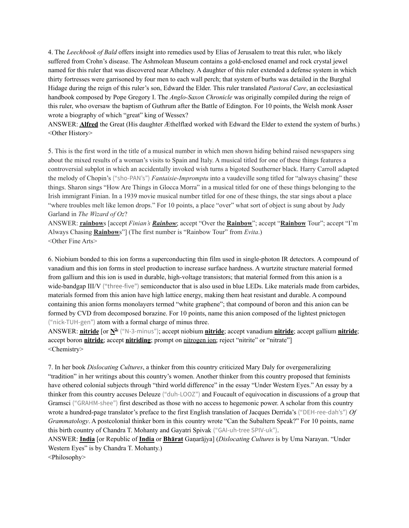4. The *Leechbook of Bald* offers insight into remedies used by Elias of Jerusalem to treat this ruler, who likely suffered from Crohn's disease. The Ashmolean Museum contains a gold-enclosed enamel and rock crystal jewel named for this ruler that was discovered near Athelney. A daughter of this ruler extended a defense system in which thirty fortresses were garrisoned by four men to each wall perch; that system of burhs was detailed in the Burghal Hidage during the reign of this ruler's son, Edward the Elder. This ruler translated *Pastoral Care*, an ecclesiastical handbook composed by Pope Gregory I. The *Anglo-Saxon Chronicle* was originally compiled during the reign of this ruler, who oversaw the baptism of Guthrum after the Battle of Edington. For 10 points, the Welsh monk Asser wrote a biography of which "great" king of Wessex?

ANSWER: **Alfred** the Great (His daughter Æthelflæd worked with Edward the Elder to extend the system of burhs.) <Other History>

5. This is the first word in the title of a musical number in which men shown hiding behind raised newspapers sing about the mixed results of a woman's visits to Spain and Italy. A musical titled for one of these things features a controversial subplot in which an accidentally invoked wish turns a bigoted Southerner black. Harry Carroll adapted the melody of Chopin's ("sho-PAN's") *Fantaisie-Impromptu* into a vaudeville song titled for "always chasing" these things. Sharon sings "How Are Things in Glocca Morra" in a musical titled for one of these things belonging to the Irish immigrant Finian. In a 1939 movie musical number titled for one of these things, the star sings about a place "where troubles melt like lemon drops." For 10 points, a place "over" what sort of object is sung about by Judy Garland in *The Wizard of Oz*?

ANSWER: **rainbow**s [accept *Finian's Rainbow*; accept "Over the **Rainbow**"; accept "**Rainbow** Tour"; accept "I'm Always Chasing **Rainbow**s"] (The first number is "Rainbow Tour" from *Evita*.) <Other Fine Arts>

6. Niobium bonded to this ion forms a superconducting thin film used in single-photon IR detectors. A compound of vanadium and this ion forms in steel production to increase surface hardness. A wurtzite structure material formed from gallium and this ion is used in durable, high-voltage transistors; that material formed from this anion is a wide-bandgap III/V ("three-five") semiconductor that is also used in blue LEDs. Like materials made from carbides, materials formed from this anion have high lattice energy, making them heat resistant and durable. A compound containing this anion forms monolayers termed "white graphene"; that compound of boron and this anion can be formed by CVD from decomposed borazine. For 10 points, name this anion composed of the lightest pnictogen ("nick-TUH-gen") atom with a formal charge of minus three.

ANSWER: **nitride** [or **N 3-** ("N-3-minus"); accept niobium **nitride**; accept vanadium **nitride**; accept gallium **nitride**; accept boron **nitride**; accept **nitriding**; prompt on nitrogen ion; reject "nitrite" or "nitrate"] <Chemistry>

7. In her book *Dislocating Cultures*, a thinker from this country criticized Mary Daly for overgeneralizing "tradition" in her writings about this country's women. Another thinker from this country proposed that feminists have othered colonial subjects through "third world difference" in the essay "Under Western Eyes." An essay by a thinker from this country accuses Deleuze ("duh-LOOZ") and Foucault of equivocation in discussions of a group that Gramsci ("GRAHM-shee") first described as those with no access to hegemonic power. A scholar from this country wrote a hundred-page translator's preface to the first English translation of Jacques Derrida's ("DEH-ree-dah's") *Of Grammatology*. A postcolonial thinker born in this country wrote "Can the Subaltern Speak?" For 10 points, name this birth country of Chandra T. Mohanty and Gayatri Spivak ("GAI-uh-tree SPIV-uk").

ANSWER: **India** [or Republic of **India** or **Bhārat** Gaṇarājya] (*Dislocating Cultures* is by Uma Narayan. "Under Western Eyes" is by Chandra T. Mohanty.)

<Philosophy>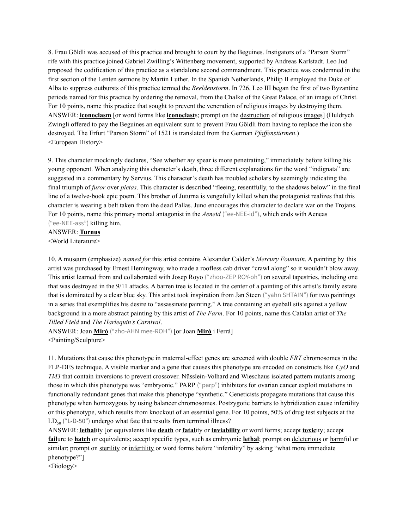8. Frau Göldli was accused of this practice and brought to court by the Beguines. Instigators of a "Parson Storm" rife with this practice joined Gabriel Zwilling's Wittenberg movement, supported by Andreas Karlstadt. Leo Jud proposed the codification of this practice as a standalone second commandment. This practice was condemned in the first section of the Lenten sermons by Martin Luther. In the Spanish Netherlands, Philip II employed the Duke of Alba to suppress outbursts of this practice termed the *Beeldenstorm*. In 726, Leo III began the first of two Byzantine periods named for this practice by ordering the removal, from the Chalke of the Great Palace, of an image of Christ. For 10 points, name this practice that sought to prevent the veneration of religious images by destroying them. ANSWER: **iconoclasm** [or word forms like **iconoclast**s; prompt on the destruction of religious images] (Huldrych Zwingli offered to pay the Beguines an equivalent sum to prevent Frau Göldli from having to replace the icon she destroyed. The Erfurt "Parson Storm" of 1521 is translated from the German *Pfaffenstürmen*.) <European History>

9. This character mockingly declares, "See whether *my* spear is more penetrating," immediately before killing his young opponent. When analyzing this character's death, three different explanations for the word "indignata" are suggested in a commentary by Servius. This character's death has troubled scholars by seemingly indicating the final triumph of *furor* over *pietas*. This character is described "fleeing, resentfully, to the shadows below" in the final line of a twelve-book epic poem. This brother of Juturna is vengefully killed when the protagonist realizes that this character is wearing a belt taken from the dead Pallas. Juno encourages this character to declare war on the Trojans. For 10 points, name this primary mortal antagonist in the *Aeneid* ("ee-NEE-id"), which ends with Aeneas ("ee-NEE-ass") killing him.

ANSWER: **Turnus** <World Literature>

10. A museum (emphasize) *named for* this artist contains Alexander Calder's *Mercury Fountain*. A painting by this artist was purchased by Ernest Hemingway, who made a roofless cab driver "crawl along" so it wouldn't blow away. This artist learned from and collaborated with Josep Royo ("zhoo-ZEP ROY-oh") on several tapestries, including one that was destroyed in the 9/11 attacks. A barren tree is located in the center of a painting of this artist's family estate that is dominated by a clear blue sky. This artist took inspiration from Jan Steen ("yahn SHTAIN") for two paintings in a series that exemplifies his desire to "assassinate painting." A tree containing an eyeball sits against a yellow background in a more abstract painting by this artist of *The Farm*. For 10 points, name this Catalan artist of *The Tilled Field* and *The Harlequin's Carnival*.

ANSWER: Joan **Miró** ("zho-AHN mee-ROH") [or Joan **Miró** i Ferrà] <Painting/Sculpture>

11. Mutations that cause this phenotype in maternal-effect genes are screened with double *FRT* chromosomes in the FLP-DFS technique. A visible marker and a gene that causes this phenotype are encoded on constructs like *CyO* and *TM3* that contain inversions to prevent crossover. Nüsslein-Volhard and Wieschaus isolated pattern mutants among those in which this phenotype was "embryonic." PARP ("parp") inhibitors for ovarian cancer exploit mutations in functionally redundant genes that make this phenotype "synthetic." Geneticists propagate mutations that cause this phenotype when homozygous by using balancer chromosomes. Postzygotic barriers to hybridization cause infertility or this phenotype, which results from knockout of an essential gene. For 10 points, 50% of drug test subjects at the LD<sub>50</sub> ("L-D-50") undergo what fate that results from terminal illness?

ANSWER: **lethal**ity [or equivalents like **death** or **fatal**ity or **inviability** or word forms; accept **toxic**ity; accept **fail**ure to **hatch** or equivalents; accept specific types, such as embryonic **lethal**; prompt on deleterious or harmful or similar; prompt on sterility or infertility or word forms before "infertility" by asking "what more immediate phenotype?"]

<Biology>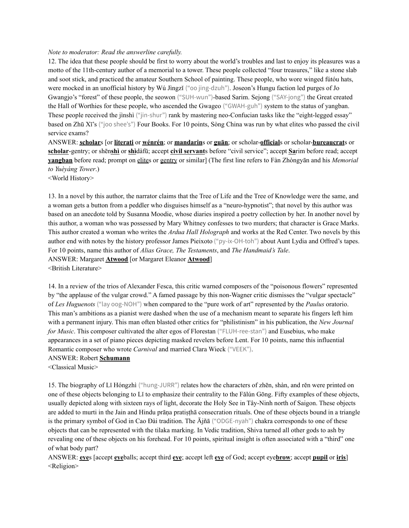#### *Note to moderator: Read the answerline carefully.*

12. The idea that these people should be first to worry about the world's troubles and last to enjoy its pleasures was a motto of the 11th-century author of a memorial to a tower. These people collected "four treasures," like a stone slab and soot stick, and practiced the amateur Southern School of painting. These people, who wore winged fútóu hats, were mocked in an unofficial history by Wú Jìngzǐ ("oo jing-dzuh"). Joseon's Hungu faction led purges of Jo Gwangjo's "forest" of these people, the seowon ("SUH-wun")-based Sarim. Sejong ("SAY-jong") the Great created the Hall of Worthies for these people, who ascended the Gwageo ("GWAH-guh") system to the status of yangban. These people received the jìnshì ("jin-shur") rank by mastering neo-Confucian tasks like the "eight-legged essay" based on Zhū Xī's ("joo shee's") Four Books. For 10 points, Sòng China was run by what elites who passed the civil service exams?

ANSWER: **scholar**s [or **literati** or **wénrén**; or **mandarin**s or **guān**; or scholar-**official**s or scholar-**bureaucrat**s or **scholar**-gentry; or shēn**shì** or **shì**dàfū; accept **civil servant**s before "civil service"; accept **Sa**rim before read; accept **yangban** before read; prompt on elites or gentry or similar] (The first line refers to Fàn Zhòngyān and his *Memorial to Yuèyáng Tower*.)

<World History>

13. In a novel by this author, the narrator claims that the Tree of Life and the Tree of Knowledge were the same, and a woman gets a button from a peddler who disguises himself as a "neuro-hypnotist"; that novel by this author was based on an anecdote told by Susanna Moodie, whose diaries inspired a poetry collection by her. In another novel by this author, a woman who was possessed by Mary Whitney confesses to two murders; that character is Grace Marks. This author created a woman who writes the *Ardua Hall Holograph* and works at the Red Center. Two novels by this author end with notes by the history professor James Pieixoto ("py-ix-OH-toh") about Aunt Lydia and Offred's tapes. For 10 points, name this author of *Alias Grace, The Testaments*, and *The Handmaid's Tale*. ANSWER: Margaret **Atwood** [or Margaret Eleanor **Atwood**] <British Literature>

14. In a review of the trios of Alexander Fesca, this critic warned composers of the "poisonous flowers" represented by "the applause of the vulgar crowd." A famed passage by this non-Wagner critic dismisses the "vulgar spectacle" of *Les Huguenots* ("lay oog-NOH") when compared to the "pure work of art" represented by the *Paulus* oratorio. This man's ambitions as a pianist were dashed when the use of a mechanism meant to separate his fingers left him with a permanent injury. This man often blasted other critics for "philistinism" in his publication, the *New Journal for Music*. This composer cultivated the alter egos of Florestan ("FLUH-ree-stan") and Eusebius, who make appearances in a set of piano pieces depicting masked revelers before Lent. For 10 points, name this influential Romantic composer who wrote *Carnival* and married Clara Wieck ("VEEK").

#### ANSWER: Robert **Schumann**

<Classical Music>

15. The biography of Lǐ Hóngzhì ("hung-JURR") relates how the characters of zhēn, shàn, and rěn were printed on one of these objects belonging to Lǐ to emphasize their centrality to the Fǎlún Gōng. Fifty examples of these objects, usually depicted along with sixteen rays of light, decorate the Holy See in Tây-Ninh north of Saigon. These objects are added to murti in the Jain and Hindu prāṇa pratiṣṭhā consecration rituals. One of these objects bound in a triangle is the primary symbol of God in Cao Đài tradition. The Ājñā ("ODGE-nyah") chakra corresponds to one of these objects that can be represented with the tilaka marking. In Vedic tradition, Shiva turned all other gods to ash by revealing one of these objects on his forehead. For 10 points, spiritual insight is often associated with a "third" one of what body part?

ANSWER: **eye**s [accept **eye**balls; accept third **eye**; accept left **eye** of God; accept eye**brow**; accept **pupil** or **iris**] <Religion>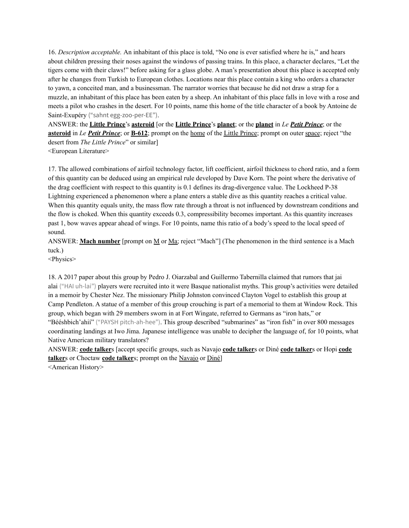16. *Description acceptable.* An inhabitant of this place is told, "No one is ever satisfied where he is," and hears about children pressing their noses against the windows of passing trains. In this place, a character declares, "Let the tigers come with their claws!" before asking for a glass globe. A man's presentation about this place is accepted only after he changes from Turkish to European clothes. Locations near this place contain a king who orders a character to yawn, a conceited man, and a businessman. The narrator worries that because he did not draw a strap for a muzzle, an inhabitant of this place has been eaten by a sheep. An inhabitant of this place falls in love with a rose and meets a pilot who crashes in the desert. For 10 points, name this home of the title character of a book by Antoine de Saint-Exupéry ("sahnt egg-zoo-per-EE").

ANSWER: the **Little Prince**'s **asteroid** [or the **Little Prince**'s **planet**; or the **planet** in *Le Petit Prince*; or the **asteroid** in *Le Petit Prince*; or **B-612**; prompt on the home of the Little Prince; prompt on outer space; reject "the desert from *The Little Prince*" or similar]

<European Literature>

17. The allowed combinations of airfoil technology factor, lift coefficient, airfoil thickness to chord ratio, and a form of this quantity can be deduced using an empirical rule developed by Dave Korn. The point where the derivative of the drag coefficient with respect to this quantity is 0.1 defines its drag-divergence value. The Lockheed P-38 Lightning experienced a phenomenon where a plane enters a stable dive as this quantity reaches a critical value. When this quantity equals unity, the mass flow rate through a throat is not influenced by downstream conditions and the flow is choked. When this quantity exceeds 0.3, compressibility becomes important. As this quantity increases past 1, bow waves appear ahead of wings. For 10 points, name this ratio of a body's speed to the local speed of sound.

ANSWER: **Mach number** [prompt on M or Ma; reject "Mach"] (The phenomenon in the third sentence is a Mach tuck.)

<Physics>

18. A 2017 paper about this group by Pedro J. Oiarzabal and Guillermo Tabernilla claimed that rumors that jai alai ("HAI uh-lai") players were recruited into it were Basque nationalist myths. This group's activities were detailed in a memoir by Chester Nez. The missionary Philip Johnston convinced Clayton Vogel to establish this group at Camp Pendleton. A statue of a member of this group crouching is part of a memorial to them at Window Rock. This group, which began with 29 members sworn in at Fort Wingate, referred to Germans as "iron hats," or "Bééshbich'ahií" ("PAYSH pitch-ah-hee"). This group described "submarines" as "iron fish" in over 800 messages coordinating landings at Iwo Jima. Japanese intelligence was unable to decipher the language of, for 10 points, what Native American military translators?

ANSWER: **code talker**s [accept specific groups, such as Navajo **code talker**s or Diné **code talker**s or Hopi **code talker**s or Choctaw **code talker**s; prompt on the Navajo or Diné]

<American History>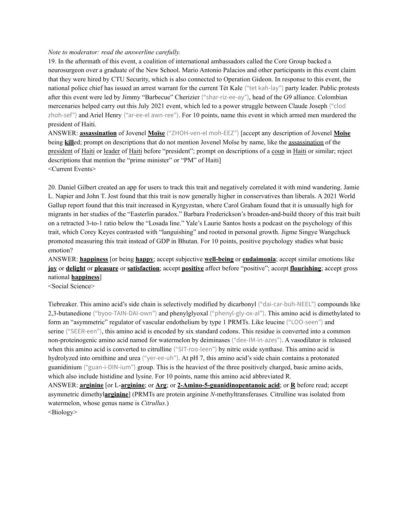#### *Note to moderator: read the answerline carefully.*

19. In the aftermath of this event, a coalition of international ambassadors called the Core Group backed a neurosurgeon over a graduate of the New School. Mario Antonio Palacios and other participants in this event claim that they were hired by CTU Security, which is also connected to Operation Gideon. In response to this event, the national police chief has issued an arrest warrant for the current Tèt Kale ("tet kah-lay") party leader. Public protests after this event were led by Jimmy "Barbecue" Cherizier ("shar-riz-ee-ay"), head of the G9 alliance. Colombian mercenaries helped carry out this July 2021 event, which led to a power struggle between Claude Joseph ("clod zhoh-sef") and Ariel Henry ("ar-ee-el awn-ree"). For 10 points, name this event in which armed men murdered the president of Haiti.

ANSWER: **assassination** of Jovenel **Moïse** ("ZHOH-ven-el moh-EEZ") [accept any description of Jovenel **Moïse** being **kill**ed; prompt on descriptions that do not mention Jovenel Moïse by name, like the assassination of the president of Haiti or leader of Haiti before "president"; prompt on descriptions of a coup in Haiti or similar; reject descriptions that mention the "prime minister" or "PM" of Haiti] <Current Events>

20. Daniel Gilbert created an app for users to track this trait and negatively correlated it with mind wandering. Jamie L. Napier and John T. Jost found that this trait is now generally higher in conservatives than liberals. A 2021 World Gallup report found that this trait increased in Kyrgyzstan, where Carol Graham found that it is unusually high for migrants in her studies of the "Easterlin paradox." Barbara Frederickson's broaden-and-build theory of this trait built on a retracted 3-to-1 ratio below the "Losada line." Yale's Laurie Santos hosts a podcast on the psychology of this trait, which Corey Keyes contrasted with "languishing" and rooted in personal growth. Jigme Singye Wangchuck promoted measuring this trait instead of GDP in Bhutan. For 10 points, positive psychology studies what basic emotion?

ANSWER: **happiness** [or being **happy**; accept subjective **well-being** or **eudaimonia**; accept similar emotions like **joy** or **delight** or **pleasure** or **satisfaction**; accept **positive** affect before "positive"; accept **flourishing**; accept gross national **happiness**]

<Social Science>

Tiebreaker. This amino acid's side chain is selectively modified by dicarbonyl ("dai-car-buh-NEEL") compounds like 2,3-butanedione ("byoo-TAIN-DAI-own") and phenylglyoxal ("phenyl-gly-ox-al"). This amino acid is dimethylated to form an "asymmetric" regulator of vascular endothelium by type 1 PRMTs. Like leucine ("LOO-seen") and serine ("SEER-een"), this amino acid is encoded by six standard codons. This residue is converted into a common non-proteinogenic amino acid named for watermelon by deiminases ("dee-IM-in-azes"). A vasodilator is released when this amino acid is converted to citrulline ("SIT-roo-leen") by nitric oxide synthase. This amino acid is hydrolyzed into ornithine and urea ("yer-ee-uh"). At pH 7, this amino acid's side chain contains a protonated guanidinium ("guan-i-DIN-ium") group. This is the heaviest of the three positively charged, basic amino acids, which also include histidine and lysine. For 10 points, name this amino acid abbreviated R. ANSWER: **arginine** [or L-**arginine**; or **Arg**; or **2-Amino-5-guanidinopentanoic acid**; or **R** before read; accept asymmetric dimethyl**arginine**] (PRMTs are protein arginine *N*-methyltransferases. Citrulline was isolated from watermelon, whose genus name is *Citrullus*.) <Biology>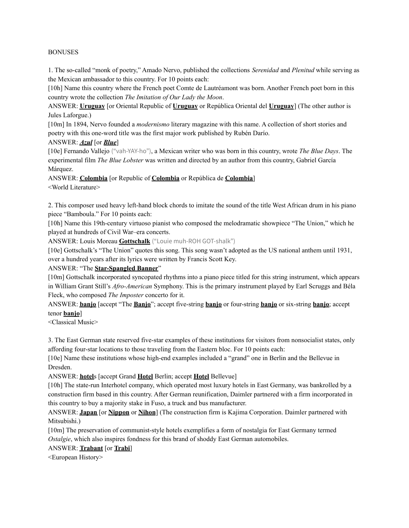#### BONUSES

1. The so-called "monk of poetry," Amado Nervo, published the collections *Serenidad* and *Plenitud* while serving as the Mexican ambassador to this country. For 10 points each:

[10h] Name this country where the French poet Comte de Lautréamont was born. Another French poet born in this country wrote the collection *The Imitation of Our Lady the Moon*.

ANSWER: **Uruguay** [or Oriental Republic of **Uruguay** or República Oriental del **Uruguay**] (The other author is Jules Laforgue.)

[10m] In 1894, Nervo founded a *modernismo* literary magazine with this name. A collection of short stories and poetry with this one-word title was the first major work published by Rubén Darío.

### ANSWER: *Azul* [or *Blue*]

[10e] Fernando Vallejo ("vah-YAY-ho"), a Mexican writer who was born in this country, wrote *The Blue Days*. The experimental film *The Blue Lobster* was written and directed by an author from this country, Gabriel García Márquez.

ANSWER: **Colombia** [or Republic of **Colombia** or República de **Colombia**] <World Literature>

2. This composer used heavy left-hand block chords to imitate the sound of the title West African drum in his piano piece "Bamboula." For 10 points each:

[10h] Name this 19th-century virtuoso pianist who composed the melodramatic showpiece "The Union," which he played at hundreds of Civil War–era concerts.

ANSWER: Louis Moreau **Gottschalk** ("Louie muh-ROH GOT-shalk")

[10e] Gottschalk's "The Union" quotes this song. This song wasn't adopted as the US national anthem until 1931, over a hundred years after its lyrics were written by Francis Scott Key.

### ANSWER: "The **Star-Spangled Banner**"

[10m] Gottschalk incorporated syncopated rhythms into a piano piece titled for this string instrument, which appears in William Grant Still's *Afro-American* Symphony. This is the primary instrument played by Earl Scruggs and Béla Fleck, who composed *The Imposter* concerto for it.

ANSWER: **banjo** [accept "The **Banjo**"; accept five-string **banjo** or four-string **banjo** or six-string **banjo**; accept tenor **banjo**]

<Classical Music>

3. The East German state reserved five-star examples of these institutions for visitors from nonsocialist states, only affording four-star locations to those traveling from the Eastern bloc. For 10 points each:

[10e] Name these institutions whose high-end examples included a "grand" one in Berlin and the Bellevue in Dresden.

ANSWER: **hotel**s [accept Grand **Hotel** Berlin; accept **Hotel** Bellevue]

[10h] The state-run Interhotel company, which operated most luxury hotels in East Germany, was bankrolled by a construction firm based in this country. After German reunification, Daimler partnered with a firm incorporated in this country to buy a majority stake in Fuso, a truck and bus manufacturer.

ANSWER: **Japan** [or **Nippon** or **Nihon**] (The construction firm is Kajima Corporation. Daimler partnered with Mitsubishi.)

[10m] The preservation of communist-style hotels exemplifies a form of nostalgia for East Germany termed *Ostalgie*, which also inspires fondness for this brand of shoddy East German automobiles.

### ANSWER: **Trabant** [or **Trabi**]

<European History>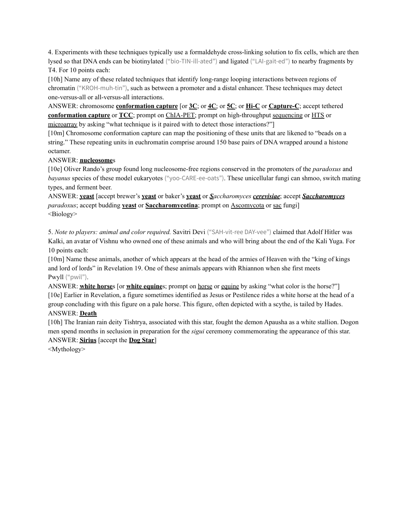4. Experiments with these techniques typically use a formaldehyde cross-linking solution to fix cells, which are then lysed so that DNA ends can be biotinylated ("bio-TIN-ill-ated") and ligated ("LAI-gait-ed") to nearby fragments by T4. For 10 points each:

[10h] Name any of these related techniques that identify long-range looping interactions between regions of chromatin ("KROH-muh-tin"), such as between a promoter and a distal enhancer. These techniques may detect one-versus-all or all-versus-all interactions.

ANSWER: chromosome **conformation capture** [or **3C**; or **4C**; or **5C**; or **Hi-C** or **Capture-C**; accept tethered **conformation capture** or **TCC**; prompt on ChIA-PET; prompt on high-throughput sequencing or HTS or microarray by asking "what technique is it paired with to detect those interactions?"

[10m] Chromosome conformation capture can map the positioning of these units that are likened to "beads on a string." These repeating units in euchromatin comprise around 150 base pairs of DNA wrapped around a histone octamer.

# ANSWER: **nucleosome**s

[10e] Oliver Rando's group found long nucleosome-free regions conserved in the promoters of the *paradoxus* and *bayanus* species of these model eukaryotes ("yoo-CARE-ee-oats"). These unicellular fungi can shmoo, switch mating types, and ferment beer.

ANSWER: **yeast** [accept brewer's **yeast** or baker's **yeast** or *Saccharomyces cerevisiae*; accept *Saccharomyces paradoxus*; accept budding **yeast** or **Saccharomycotina**; prompt on Ascomycota or sac fungi] <Biology>

5. *Note to players: animal and color required.* Savitri Devi ("SAH-vit-ree DAY-vee") claimed that Adolf Hitler was Kalki, an avatar of Vishnu who owned one of these animals and who will bring about the end of the Kali Yuga. For 10 points each:

[10m] Name these animals, another of which appears at the head of the armies of Heaven with the "king of kings and lord of lords" in Revelation 19. One of these animals appears with Rhiannon when she first meets Pwyll ("pwil").

ANSWER: **white horse**s [or **white equine**s; prompt on horse or equine by asking "what color is the horse?"] [10e] Earlier in Revelation, a figure sometimes identified as Jesus or Pestilence rides a white horse at the head of a group concluding with this figure on a pale horse. This figure, often depicted with a scythe, is tailed by Hades. ANSWER: **Death**

[10h] The Iranian rain deity Tishtrya, associated with this star, fought the demon Apausha as a white stallion. Dogon men spend months in seclusion in preparation for the *sigui* ceremony commemorating the appearance of this star. ANSWER: **Sirius** [accept the **Dog Star**]

<Mythology>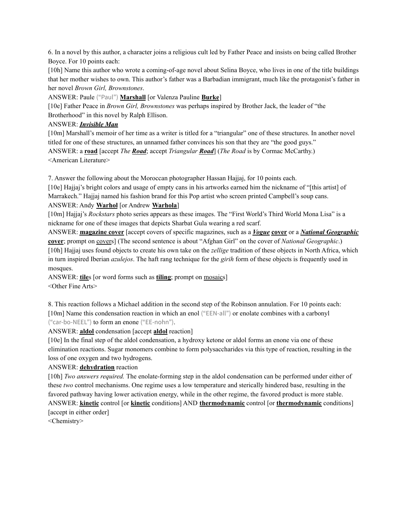6. In a novel by this author, a character joins a religious cult led by Father Peace and insists on being called Brother Boyce. For 10 points each:

[10h] Name this author who wrote a coming-of-age novel about Selina Boyce, who lives in one of the title buildings that her mother wishes to own. This author's father was a Barbadian immigrant, much like the protagonist's father in her novel *Brown Girl, Brownstones*.

ANSWER: Paule ("Paul") **Marshall** [or Valenza Pauline **Burke**]

[10e] Father Peace in *Brown Girl, Brownstones* was perhaps inspired by Brother Jack, the leader of "the Brotherhood" in this novel by Ralph Ellison.

## ANSWER: *Invisible Man*

[10m] Marshall's memoir of her time as a writer is titled for a "triangular" one of these structures. In another novel titled for one of these structures, an unnamed father convinces his son that they are "the good guys." ANSWER: a **road** [accept *The Road*; accept *Triangular Road*] (*The Road* is by Cormac McCarthy.) <American Literature>

7. Answer the following about the Moroccan photographer Hassan Hajjaj, for 10 points each.

[10e] Hajjaj's bright colors and usage of empty cans in his artworks earned him the nickname of "[this artist] of Marrakech." Hajjaj named his fashion brand for this Pop artist who screen printed Campbell's soup cans. ANSWER: Andy **Warhol** [or Andrew **Warhola**]

[10m] Hajjaj's *Rockstars* photo series appears as these images. The "First World's Third World Mona Lisa" is a nickname for one of these images that depicts Sharbat Gula wearing a red scarf.

ANSWER: **magazine cover** [accept covers of specific magazines, such as a *Vogue* **cover** or a *National Geographic* **cover**; prompt on covers] (The second sentence is about "Afghan Girl" on the cover of *National Geographic*.) [10h] Hajjaj uses found objects to create his own take on the *zellige* tradition of these objects in North Africa, which in turn inspired Iberian *azulejos*. The haft rang technique for the *girih* form of these objects is frequently used in mosques.

ANSWER: **tile**s [or word forms such as **tiling**; prompt on mosaics] <Other Fine Arts>

8. This reaction follows a Michael addition in the second step of the Robinson annulation. For 10 points each: [10m] Name this condensation reaction in which an enol ("EEN-all") or enolate combines with a carbonyl ("car-bo-NEEL") to form an enone ("EE-nohn").

ANSWER: **aldol** condensation [accept **aldol** reaction]

[10e] In the final step of the aldol condensation, a hydroxy ketone or aldol forms an enone via one of these elimination reactions. Sugar monomers combine to form polysaccharides via this type of reaction, resulting in the loss of one oxygen and two hydrogens.

### ANSWER: **dehydration** reaction

[10h] *Two answers required.* The enolate-forming step in the aldol condensation can be performed under either of these *two* control mechanisms. One regime uses a low temperature and sterically hindered base, resulting in the favored pathway having lower activation energy, while in the other regime, the favored product is more stable. ANSWER: **kinetic** control [or **kinetic** conditions] AND **thermodynamic** control [or **thermodynamic** conditions] [accept in either order]

<Chemistry>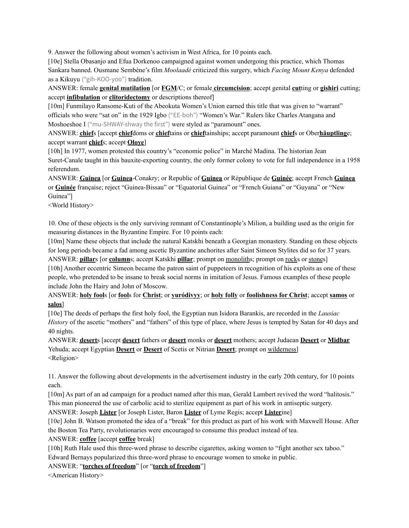9. Answer the following about women's activism in West Africa, for 10 points each.

[10e] Stella Obasanjo and Efua Dorkenoo campaigned against women undergoing this practice, which Thomas Sankara banned. Ousmane Sembène's film *Moolaadé* criticized this surgery, which *Facing Mount Kenya* defended as a Kikuyu ("gih-KOO-yoo") tradition.

ANSWER: female **genital mutilation** [or **FGM**/C; or female **circumcision**; accept genital **cut**ting or **gishiri** cutting; accept **infibulation** or **clitoridectomy** or descriptions thereof]

[10m] Funmilayo Ransome-Kuti of the Abeokuta Women's Union earned this title that was given to "warrant" officials who were "sat on" in the 1929 Igbo ("EE-boh") "Women's War." Rulers like Charles Atangana and Moshoeshoe I ("mu-SHWAY-shway the first") were styled as "paramount" ones.

ANSWER: **chief**s [accept **chief**doms or **chief**tains or **chief**tainships; accept paramount **chief**s or Ober**häuptling**e; accept warrant **chief**s; accept **Oloye**]

[10h] In 1977, women protested this country's "economic police" in Marché Madina. The historian Jean Suret-Canale taught in this bauxite-exporting country, the only former colony to vote for full independence in a 1958 referendum.

ANSWER: **Guinea** [or **Guinea**-Conakry; or Republic of **Guinea** or République de **Guinée**; accept French **Guinea** or **Guinée** française; reject "Guinea-Bissau" or "Equatorial Guinea" or "French Guiana" or "Guyana" or "New Guinea"]

<World History>

10. One of these objects is the only surviving remnant of Constantinople's Milion, a building used as the origin for measuring distances in the Byzantine Empire. For 10 points each:

[10m] Name these objects that include the natural Katskhi beneath a Georgian monastery. Standing on these objects for long periods became a fad among ascetic Byzantine anchorites after Saint Simeon Stylites did so for 37 years. ANSWER: **pillar**s [or **column**s; accept Katskhi **pillar**; prompt on monoliths; prompt on rocks or stones]

[10h] Another eccentric Simeon became the patron saint of puppeteers in recognition of his exploits as one of these people, who pretended to be insane to break social norms in imitation of Jesus. Famous examples of these people include John the Hairy and John of Moscow.

ANSWER: **holy fool**s [or **fool**s for **Christ**; or **yuródivyy**; or **holy folly** or **foolishness for Christ**; accept **samos** or **salos**]

[10e] The deeds of perhaps the first holy fool, the Egyptian nun Isidora Barankis, are recorded in the *Lausiac History* of the ascetic "mothers" and "fathers" of this type of place, where Jesus is tempted by Satan for 40 days and 40 nights.

ANSWER: **desert**s [accept **desert** fathers or **desert** monks or **desert** mothers; accept Judaean **Desert** or **Midbar** Yehuda; accept Egyptian **Desert** or **Desert** of Scetis or Nitrian **Desert**; prompt on wilderness] <Religion>

11. Answer the following about developments in the advertisement industry in the early 20th century, for 10 points each.

[10m] As part of an ad campaign for a product named after this man, Gerald Lambert revived the word "halitosis." This man pioneered the use of carbolic acid to sterilize equipment as part of his work in antiseptic surgery.

ANSWER: Joseph **Lister** [or Joseph Lister, Baron **Lister** of Lyme Regis; accept **Lister**ine]

[10e] John B. Watson promoted the idea of a "break" for this product as part of his work with Maxwell House. After the Boston Tea Party, revolutionaries were encouraged to consume this product instead of tea.

ANSWER: **coffee** [accept **coffee** break]

[10h] Ruth Hale used this three-word phrase to describe cigarettes, asking women to "fight another sex taboo." Edward Bernays popularized this three-word phrase to encourage women to smoke in public.

# ANSWER: "**torches of freedom**" [or "**torch of freedom**"]

<American History>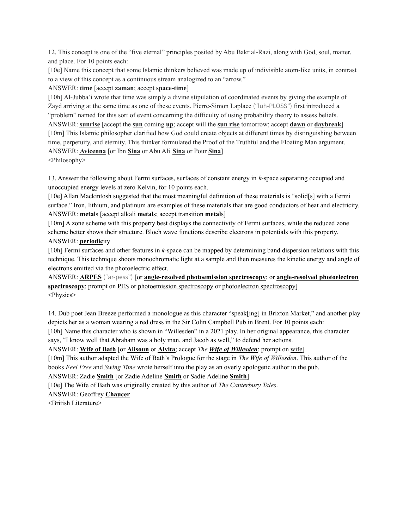12. This concept is one of the "five eternal" principles posited by Abu Bakr al-Razi, along with God, soul, matter, and place. For 10 points each:

[10e] Name this concept that some Islamic thinkers believed was made up of indivisible atom-like units, in contrast to a view of this concept as a continuous stream analogized to an "arrow."

# ANSWER: **time** [accept **zaman**; accept **space-time**]

[10h] Al-Jubba'i wrote that time was simply a divine stipulation of coordinated events by giving the example of Zayd arriving at the same time as one of these events. Pierre-Simon Laplace ("luh-PLOSS") first introduced a "problem" named for this sort of event concerning the difficulty of using probability theory to assess beliefs. ANSWER: **sunrise** [accept the **sun** coming **up**; accept will the **sun rise** tomorrow; accept **dawn** or **daybreak**] [10m] This Islamic philosopher clarified how God could create objects at different times by distinguishing between time, perpetuity, and eternity. This thinker formulated the Proof of the Truthful and the Floating Man argument. ANSWER: **Avicenna** [or Ibn **Sina** or Abu Ali **Sina** or Pour **Sina**]

<Philosophy>

13. Answer the following about Fermi surfaces, surfaces of constant energy in *k*-space separating occupied and unoccupied energy levels at zero Kelvin, for 10 points each.

[10e] Allan Mackintosh suggested that the most meaningful definition of these materials is "solid[s] with a Fermi surface." Iron, lithium, and platinum are examples of these materials that are good conductors of heat and electricity. ANSWER: **metal**s [accept alkali **metal**s; accept transition **metal**s]

[10m] A zone scheme with this property best displays the connectivity of Fermi surfaces, while the reduced zone scheme better shows their structure. Bloch wave functions describe electrons in potentials with this property. ANSWER: **periodic**ity

[10h] Fermi surfaces and other features in *k*-space can be mapped by determining band dispersion relations with this technique. This technique shoots monochromatic light at a sample and then measures the kinetic energy and angle of electrons emitted via the photoelectric effect.

ANSWER: **ARPES** ("ar-pess") [or **angle-resolved photoemission spectroscopy**; or **angle-resolved photoelectron spectroscopy**; prompt on PES or photoemission spectroscopy or photoelectron spectroscopy] <Physics>

14. Dub poet Jean Breeze performed a monologue as this character "speak[ing] in Brixton Market," and another play depicts her as a woman wearing a red dress in the Sir Colin Campbell Pub in Brent. For 10 points each:

[10h] Name this character who is shown in "Willesden" in a 2021 play. In her original appearance, this character says, "I know well that Abraham was a holy man, and Jacob as well," to defend her actions.

ANSWER: **Wife of Bath** [or **Alisoun** or **Alvita**; accept *The Wife of Willesden*; prompt on wife]

[10m] This author adapted the Wife of Bath's Prologue for the stage in *The Wife of Willesden*. This author of the books *Feel Free* and *Swing Time* wrote herself into the play as an overly apologetic author in the pub.

ANSWER: Zadie **Smith** [or Zadie Adeline **Smith** or Sadie Adeline **Smith**]

[10e] The Wife of Bath was originally created by this author of *The Canterbury Tales*.

ANSWER: Geoffrey **Chaucer**

<British Literature>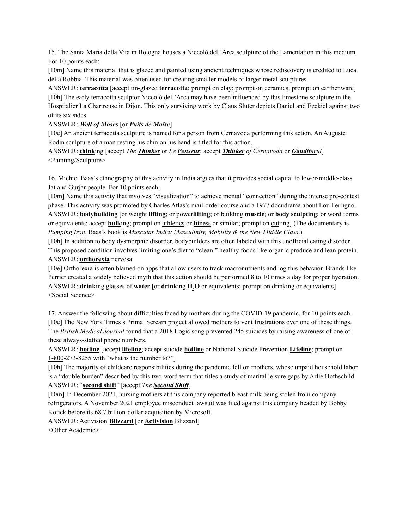15. The Santa Maria della Vita in Bologna houses a Niccolò dell'Arca sculpture of the Lamentation in this medium. For 10 points each:

[10m] Name this material that is glazed and painted using ancient techniques whose rediscovery is credited to Luca della Robbia. This material was often used for creating smaller models of larger metal sculptures.

ANSWER: **terracotta** [accept tin-glazed **terracotta**; prompt on clay; prompt on ceramics; prompt on earthenware] [10h] The early terracotta sculptor Niccolò dell'Arca may have been influenced by this limestone sculpture in the Hospitalier La Chartreuse in Dijon. This only surviving work by Claus Sluter depicts Daniel and Ezekiel against two of its six sides.

ANSWER: *Well of Moses* [or *Puits de Moïse*]

[10e] An ancient terracotta sculpture is named for a person from Cernavoda performing this action. An Auguste Rodin sculpture of a man resting his chin on his hand is titled for this action.

ANSWER: **think**ing [accept *The Thinker* or *Le Penseur*; accept *Thinker of Cernavoda* or *Gânditorul*] <Painting/Sculpture>

16. Michiel Baas's ethnography of this activity in India argues that it provides social capital to lower-middle-class Jat and Gurjar people. For 10 points each:

[10m] Name this activity that involves "visualization" to achieve mental "connection" during the intense pre-contest phase. This activity was promoted by Charles Atlas's mail-order course and a 1977 docudrama about Lou Ferrigno. ANSWER: **bodybuilding** [or weight **lifting**; or power**lifting**; or building **muscle**; or **body sculpting**; or word forms or equivalents; accept **bulk**ing; prompt on athletics or fitness or similar; prompt on cutting] (The documentary is *Pumping Iron*. Baas's book is *Muscular India: Masculinity, Mobility & the New Middle Class*.)

[10h] In addition to body dysmorphic disorder, bodybuilders are often labeled with this unofficial eating disorder. This proposed condition involves limiting one's diet to "clean," healthy foods like organic produce and lean protein. ANSWER: **orthorexia** nervosa

[10e] Orthorexia is often blamed on apps that allow users to track macronutrients and log this behavior. Brands like Perrier created a widely believed myth that this action should be performed 8 to 10 times a day for proper hydration. ANSWER: **drink**ing glasses of **water** [or **drink**ing **H2O** or equivalents; prompt on drinking or equivalents] <Social Science>

17. Answer the following about difficulties faced by mothers during the COVID-19 pandemic, for 10 points each. [10e] The New York Times's Primal Scream project allowed mothers to vent frustrations over one of these things. The *British Medical Journal* found that a 2018 Logic song prevented 245 suicides by raising awareness of one of these always-staffed phone numbers.

ANSWER: **hotline** [accept **lifeline**; accept suicide **hotline** or National Suicide Prevention **Lifeline**; prompt on 1-800-273-8255 with "what is the number to?"]

[10h] The majority of childcare responsibilities during the pandemic fell on mothers, whose unpaid household labor is a "double burden" described by this two-word term that titles a study of marital leisure gaps by Arlie Hothschild. ANSWER: "**second shift**" [accept *The Second Shift*]

[10m] In December 2021, nursing mothers at this company reported breast milk being stolen from company refrigerators. A November 2021 employee misconduct lawsuit was filed against this company headed by Bobby Kotick before its 68.7 billion-dollar acquisition by Microsoft.

ANSWER: Activision **Blizzard** [or **Activision** Blizzard]

<Other Academic>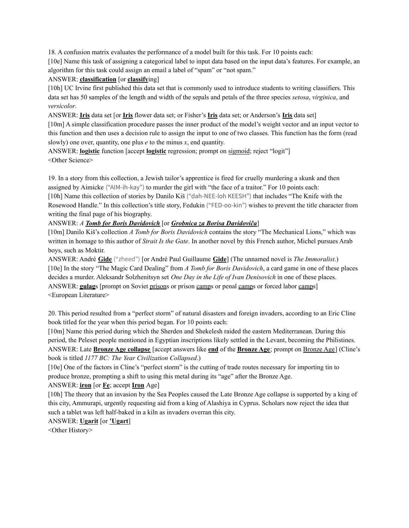18. A confusion matrix evaluates the performance of a model built for this task. For 10 points each:

[10e] Name this task of assigning a categorical label to input data based on the input data's features. For example, an algorithm for this task could assign an email a label of "spam" or "not spam."

# ANSWER: **classification** [or **classify**ing]

[10h] UC Irvine first published this data set that is commonly used to introduce students to writing classifiers. This data set has 50 samples of the length and width of the sepals and petals of the three species *setosa*, *virginica*, and *versicolor*.

ANSWER: **Iris** data set [or **Iris** flower data set; or Fisher's **Iris** data set; or Anderson's **Iris** data set]

[10m] A simple classification procedure passes the inner product of the model's weight vector and an input vector to this function and then uses a decision rule to assign the input to one of two classes. This function has the form (read slowly) one over, quantity, one plus *e* to the minus *x*, end quantity.

ANSWER: **logistic** function [accept **logistic** regression; prompt on sigmoid; reject "logit"] <Other Science>

19. In a story from this collection, a Jewish tailor's apprentice is fired for cruelly murdering a skunk and then assigned by Aimicke ("AIM-ih-kay") to murder the girl with "the face of a traitor." For 10 points each: [10h] Name this collection of stories by Danilo Kiš ("dah-NEE-loh KEESH") that includes "The Knife with the Rosewood Handle." In this collection's title story, Fedukin ("FED-oo-kin") wishes to prevent the title character from writing the final page of his biography.

# ANSWER: *A Tomb for Boris Davidovich* [or *Grobnica za Borisa Davidoviča*]

[10m] Danilo Kiš's collection *A Tomb for Boris Davidovich* contains the story "The Mechanical Lions," which was written in homage to this author of *Strait Is the Gate*. In another novel by this French author, Michel pursues Arab boys, such as Moktir.

ANSWER: André **Gide** ("zheed") [or André Paul Guillaume **Gide**] (The unnamed novel is *The Immoralist*.) [10e] In the story "The Magic Card Dealing" from *A Tomb for Boris Davidovich*, a card game in one of these places decides a murder. Aleksandr Solzhenitsyn set *One Day in the Life of Ivan Denisovich* in one of these places. ANSWER: gulags [prompt on Soviet prisons or prison camps or penal camps or forced labor camps] <European Literature>

20. This period resulted from a "perfect storm" of natural disasters and foreign invaders, according to an Eric Cline book titled for the year when this period began. For 10 points each:

[10m] Name this period during which the Sherden and Shekelesh raided the eastern Mediterranean. During this period, the Peleset people mentioned in Egyptian inscriptions likely settled in the Levant, becoming the Philistines. ANSWER: Late **Bronze Age collapse** [accept answers like **end** of the **Bronze Age**; prompt on Bronze Age] (Cline's book is titled *1177 BC: The Year Civilization Collapsed*.)

[10e] One of the factors in Cline's "perfect storm" is the cutting of trade routes necessary for importing tin to produce bronze, prompting a shift to using this metal during its "age" after the Bronze Age.

# ANSWER: **iron** [or **Fe**; accept **Iron** Age]

[10h] The theory that an invasion by the Sea Peoples caused the Late Bronze Age collapse is supported by a king of this city, Ammurapi, urgently requesting aid from a king of Alashiya in Cyprus. Scholars now reject the idea that such a tablet was left half-baked in a kiln as invaders overran this city.

# ANSWER: **Ugarit** [or **'Ugart**]

<Other History>